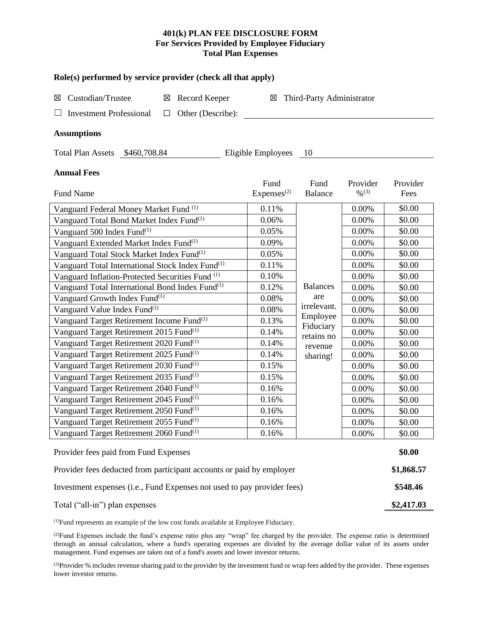### **401(k) PLAN FEE DISCLOSURE FORM For Services Provided by Employee Fiduciary Total Plan Expenses**

### **Role(s) performed by service provider (check all that apply)**

| $\boxtimes$ Custodian/Trustee                           | $\boxtimes$ Record Keeper | $\boxtimes$ Third-Party Administrator |
|---------------------------------------------------------|---------------------------|---------------------------------------|
| $\Box$ Investment Professional $\Box$ Other (Describe): |                           |                                       |

### **Assumptions**

Total Plan Assets \$460,708.84 Eligible Employees 10

# **Annual Fees**

| <b>Fund Name</b>                                                        | Fund<br>$Express^{(2)}$ | Fund<br><b>Balance</b>                                                                              | Provider<br>$0/6^{(3)}$ | Provider<br>Fees |  |
|-------------------------------------------------------------------------|-------------------------|-----------------------------------------------------------------------------------------------------|-------------------------|------------------|--|
| Vanguard Federal Money Market Fund (1)                                  | 0.11%                   |                                                                                                     | 0.00%                   | \$0.00           |  |
| Vanguard Total Bond Market Index Fund <sup>(1)</sup>                    | 0.06%                   |                                                                                                     | $0.00\%$                | \$0.00           |  |
| Vanguard 500 Index Fund <sup>(1)</sup>                                  | 0.05%                   |                                                                                                     | $0.00\%$                | \$0.00           |  |
| Vanguard Extended Market Index Fund <sup>(1)</sup>                      | 0.09%                   |                                                                                                     | 0.00%                   | \$0.00           |  |
| Vanguard Total Stock Market Index Fund <sup>(1)</sup>                   | 0.05%                   | <b>Balances</b><br>are<br>irrelevant.<br>Employee<br>Fiduciary<br>retains no<br>revenue<br>sharing! | 0.00%                   | \$0.00           |  |
| Vanguard Total International Stock Index Fund <sup>(1)</sup>            | 0.11%                   |                                                                                                     | 0.00%                   | \$0.00           |  |
| Vanguard Inflation-Protected Securities Fund <sup>(1)</sup>             | 0.10%                   |                                                                                                     | 0.00%                   | \$0.00           |  |
| Vanguard Total International Bond Index Fund <sup>(1)</sup>             | 0.12%                   |                                                                                                     | 0.00%                   | \$0.00           |  |
| Vanguard Growth Index Fund <sup>(1)</sup>                               | 0.08%                   |                                                                                                     | 0.00%                   | \$0.00           |  |
| Vanguard Value Index Fund <sup>(1)</sup>                                | 0.08%                   |                                                                                                     | 0.00%                   | \$0.00           |  |
| Vanguard Target Retirement Income Fund <sup>(1)</sup>                   | 0.13%                   |                                                                                                     | 0.00%                   | \$0.00           |  |
| Vanguard Target Retirement 2015 Fund <sup>(1)</sup>                     | 0.14%                   |                                                                                                     | 0.00%                   | \$0.00           |  |
| Vanguard Target Retirement 2020 Fund <sup>(1)</sup>                     | 0.14%                   |                                                                                                     | 0.00%                   | \$0.00           |  |
| Vanguard Target Retirement 2025 Fund <sup>(1)</sup>                     | 0.14%                   |                                                                                                     | 0.00%                   | \$0.00           |  |
| Vanguard Target Retirement 2030 Fund <sup>(1)</sup>                     | 0.15%                   |                                                                                                     | 0.00%                   | \$0.00           |  |
| Vanguard Target Retirement 2035 Fund <sup>(1)</sup>                     | 0.15%                   |                                                                                                     | 0.00%                   | \$0.00           |  |
| Vanguard Target Retirement 2040 Fund <sup>(1)</sup>                     | 0.16%                   |                                                                                                     | 0.00%                   | \$0.00           |  |
| Vanguard Target Retirement 2045 Fund <sup>(1)</sup>                     | 0.16%                   |                                                                                                     | 0.00%                   | \$0.00           |  |
| Vanguard Target Retirement 2050 Fund <sup>(1)</sup>                     | 0.16%                   |                                                                                                     | 0.00%                   | \$0.00           |  |
| Vanguard Target Retirement 2055 Fund <sup>(1)</sup>                     | 0.16%                   |                                                                                                     | 0.00%                   | \$0.00           |  |
| Vanguard Target Retirement 2060 Fund <sup>(1)</sup>                     | 0.16%                   |                                                                                                     | 0.00%                   | \$0.00           |  |
| Provider fees paid from Fund Expenses                                   |                         |                                                                                                     |                         |                  |  |
| Provider fees deducted from participant accounts or paid by employer    |                         |                                                                                                     |                         |                  |  |
| Investment expenses (i.e., Fund Expenses not used to pay provider fees) |                         |                                                                                                     |                         |                  |  |

Total ("all-in") plan expenses **\$2,417.03**

(1)Fund represents an example of the low cost funds available at Employee Fiduciary.

<sup>(2)</sup>Fund Expenses include the fund's expense ratio plus any "wrap" fee charged by the provider. The expense ratio is determined through an annual calculation, where a fund's operating expenses are divided by the average dollar value of its assets under management. Fund expenses are taken out of a fund's assets and lower investor returns.

(3) Provider % includes revenue sharing paid to the provider by the investment fund or wrap fees added by the provider. These expenses lower investor returns.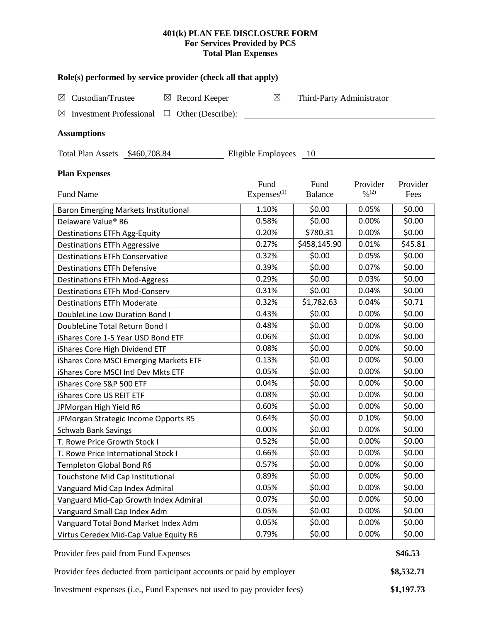# **401(k) PLAN FEE DISCLOSURE FORM For Services Provided by PCS Total Plan Expenses**

| Role(s) performed by service provider (check all that apply)  |                        |                           |                              |          |  |  |  |  |  |
|---------------------------------------------------------------|------------------------|---------------------------|------------------------------|----------|--|--|--|--|--|
| Custodian/Trustee<br>$\boxtimes$ Record Keeper<br>$\boxtimes$ | $\boxtimes$            | Third-Party Administrator |                              |          |  |  |  |  |  |
| Investment Professional $\Box$ Other (Describe):<br>⊠         |                        |                           |                              |          |  |  |  |  |  |
| <b>Assumptions</b>                                            |                        |                           |                              |          |  |  |  |  |  |
| Total Plan Assets \$460,708.84                                | Eligible Employees     | - 10                      |                              |          |  |  |  |  |  |
| <b>Plan Expenses</b>                                          |                        |                           |                              |          |  |  |  |  |  |
|                                                               | Fund                   | Fund                      | Provider                     | Provider |  |  |  |  |  |
| <b>Fund Name</b>                                              | Express <sup>(1)</sup> | <b>Balance</b>            | $\frac{0}{0}$ <sup>(2)</sup> | Fees     |  |  |  |  |  |
| <b>Baron Emerging Markets Institutional</b>                   | 1.10%                  | \$0.00                    | 0.05%                        | \$0.00   |  |  |  |  |  |
| Delaware Value <sup>®</sup> R6                                | 0.58%                  | \$0.00                    | 0.00%                        | \$0.00   |  |  |  |  |  |
| <b>Destinations ETFh Agg-Equity</b>                           | 0.20%                  | \$780.31                  | 0.00%                        | \$0.00   |  |  |  |  |  |
| <b>Destinations ETFh Aggressive</b>                           | 0.27%                  | \$458,145.90              | 0.01%                        | \$45.81  |  |  |  |  |  |
| <b>Destinations ETFh Conservative</b>                         | 0.32%                  | \$0.00                    | 0.05%                        | \$0.00   |  |  |  |  |  |
| <b>Destinations ETFh Defensive</b>                            | 0.39%                  | \$0.00                    | 0.07%                        | \$0.00   |  |  |  |  |  |
| <b>Destinations ETFh Mod-Aggress</b>                          | 0.29%                  | \$0.00                    | 0.03%                        | \$0.00   |  |  |  |  |  |
| <b>Destinations ETFh Mod-Conserv</b>                          | 0.31%                  | \$0.00                    | 0.04%                        | \$0.00   |  |  |  |  |  |
| <b>Destinations ETFh Moderate</b>                             | 0.32%                  | \$1,782.63                | 0.04%                        | \$0.71   |  |  |  |  |  |
| DoubleLine Low Duration Bond I                                | 0.43%                  | \$0.00                    | 0.00%                        | \$0.00   |  |  |  |  |  |
| DoubleLine Total Return Bond I                                | 0.48%                  | \$0.00                    | 0.00%                        | \$0.00   |  |  |  |  |  |
| iShares Core 1-5 Year USD Bond ETF                            | 0.06%                  | \$0.00                    | 0.00%                        | \$0.00   |  |  |  |  |  |
| iShares Core High Dividend ETF                                | 0.08%                  | \$0.00                    | 0.00%                        | \$0.00   |  |  |  |  |  |
| iShares Core MSCI Emerging Markets ETF                        | 0.13%                  | \$0.00                    | 0.00%                        | \$0.00   |  |  |  |  |  |
| iShares Core MSCI Intl Dev Mkts ETF                           | 0.05%                  | \$0.00                    | 0.00%                        | \$0.00   |  |  |  |  |  |
| iShares Core S&P 500 ETF                                      | 0.04%                  | \$0.00                    | 0.00%                        | \$0.00   |  |  |  |  |  |
| iShares Core US REIT ETF                                      | 0.08%                  | \$0.00                    | 0.00%                        | \$0.00   |  |  |  |  |  |
| JPMorgan High Yield R6                                        | 0.60%                  | \$0.00                    | 0.00%                        | \$0.00   |  |  |  |  |  |
| JPMorgan Strategic Income Opports R5                          | 0.64%                  | \$0.00                    | 0.10%                        | \$0.00   |  |  |  |  |  |
| <b>Schwab Bank Savings</b>                                    | 0.00%                  | \$0.00                    | 0.00%                        | \$0.00   |  |  |  |  |  |
| T. Rowe Price Growth Stock I                                  | 0.52%                  | \$0.00                    | 0.00%                        | \$0.00   |  |  |  |  |  |
| T. Rowe Price International Stock I                           | 0.66%                  | \$0.00                    | 0.00%                        | \$0.00   |  |  |  |  |  |
| Templeton Global Bond R6                                      | 0.57%                  | \$0.00                    | 0.00%                        | \$0.00   |  |  |  |  |  |
| Touchstone Mid Cap Institutional                              | 0.89%                  | \$0.00                    | 0.00%                        | \$0.00   |  |  |  |  |  |
| Vanguard Mid Cap Index Admiral                                | 0.05%                  | \$0.00                    | 0.00%                        | \$0.00   |  |  |  |  |  |
| Vanguard Mid-Cap Growth Index Admiral                         | 0.07%                  | \$0.00                    | 0.00%                        | \$0.00   |  |  |  |  |  |
| Vanguard Small Cap Index Adm                                  | 0.05%                  | \$0.00                    | 0.00%                        | \$0.00   |  |  |  |  |  |
| Vanguard Total Bond Market Index Adm                          | 0.05%                  | \$0.00                    | 0.00%                        | \$0.00   |  |  |  |  |  |
| Virtus Ceredex Mid-Cap Value Equity R6                        | 0.79%                  | \$0.00                    | 0.00%                        | \$0.00   |  |  |  |  |  |

Provider fees paid from Fund Expenses **\$46.53** 

Provider fees deducted from participant accounts or paid by employer **\$8,532.71**

Investment expenses (i.e., Fund Expenses not used to pay provider fees) **\$1,197.73**